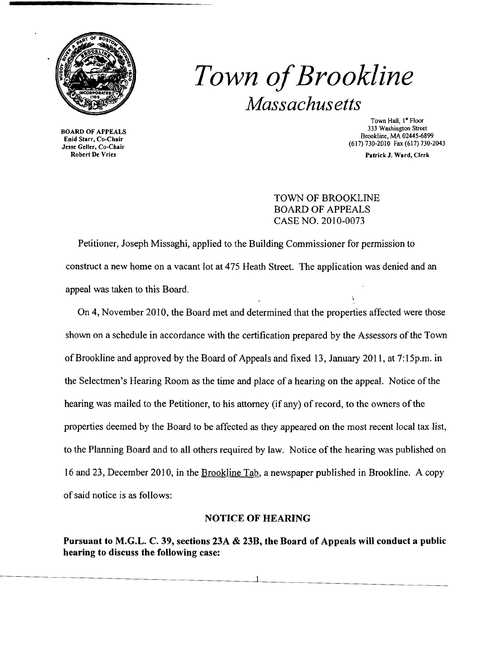

# *Town ofBrookline Massachusetts*

BOARD OF APPEALS Enid Starr, Co-Chair Jesse Geller, Co-Chair Robert De Vries

Town HaIl, I" Floor 333 Washington Street Brookline, MA 02445-6899 (617) 730-2010 Fax (617) 730·2043

Patrick J. Ward, Clerk

TOWN OF BROOKLINE BOARD OF APPEALS CASE NO. 2010-0073

Petitioner, Joseph Missaghi, applied to the Building Commissioner for permission to construct a new home on a vacant lot at 475 Heath Street. The application was denied and an appeal was taken to this Board.

On 4, November 2010, the Board met and determined that the properties affected were those shown on a schedule in accordance with the certification prepared by the Assessors of the Town ofBrookline and approved by the Board of Appeals and fixed 13, January 2011, at 7:15p.m. in the Selectmen's Hearing Room as the time and place of a hearing on the appeal. Notice of the hearing was mailed to the Petitioner, to his attorney (if any) of record, to the owners of the properties deemed by the Board to be affected as they appeared on the most recent local tax list, to the Planning Board and to all others required by law. Notice of the hearing was published on 16 and 23, December 2010, in the Brookline Tab, a newspaper published in Brookline. A copy ofsaid notice is as follows:

## NOTICE OF HEARING

Pursuant to M.G.L. C. 39, sections 23A & 23B, the Board of Appeals will conduct a public hearing to discuss the following case: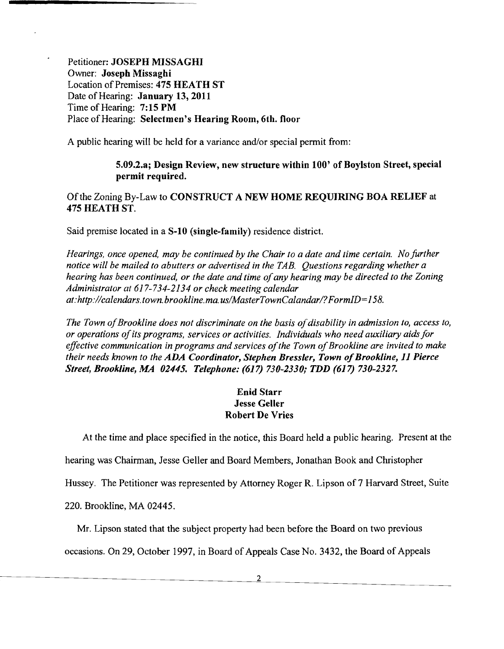Petitioner: JOSEPH MISSAGHI Owner: Joseph Missaghi Location of Premises: 475 HEATH ST Date of Hearing: January 13,2011 Time of Hearing: 7:15 PM Place of Hearing: Selectmen's Hearing Room, 6th. floor

A public hearing will be held for a variance and/or special permit from:

#### 5.09.2.a; Design Review, new structure within 100' of Boylston Street, special permit required.

### Ofthe Zoning By-Law to CONSTRUCT A NEW HOME REQUIRING BOA RELIEF at 475 HEATH ST.

Said premise located in a S-10 (single-family) residence district.

*Hearings, once opened, may be continued by the Chair to a date and time certain. No further notice will be mailed to abutters or advertised in the TAB. Questions regarding whether a hearing has been continued, or the date and time of any hearing may be directed to the Zoning Administrator at* 617-734-2134 *or check meeting calendar at:http://calendars.town.brookline.ma.usIMasterTownCalandarl?FormID= 158.* 

The Town of Brookline does not discriminate on the basis of disability in admission to, access to, *or operations ofits programs, services or activities. Individuals who need auxiliary aids for effective communication in programs and services of the Town of Brookline are invited to make their needs known to the ADA Coordinator, Stephen Bressler, Town of Brookline, 11 Pierce Street, Brookline, MA 02445. Telephone:* (617) *730-2330; TDD* (617) *730-2327.* 

## Enid Starr Jesse Geller Robert De Vries

At the time and place specified in the notice, this Board held a public hearing. Present at the

hearing was Chairman, Jesse Geller and Board Members, Jonathan Book and Christopher

Hussey. The Petitioner was represented by Attorney Roger R. Lipson of 7 Harvard Street, Suite

220. Brookline, MA 02445.

Mr. Lipson stated that the subject property had been before the Board on two previous

occasions. On 29, October 1997, in Board of Appeals Case No. 3432, the Board of Appeals

2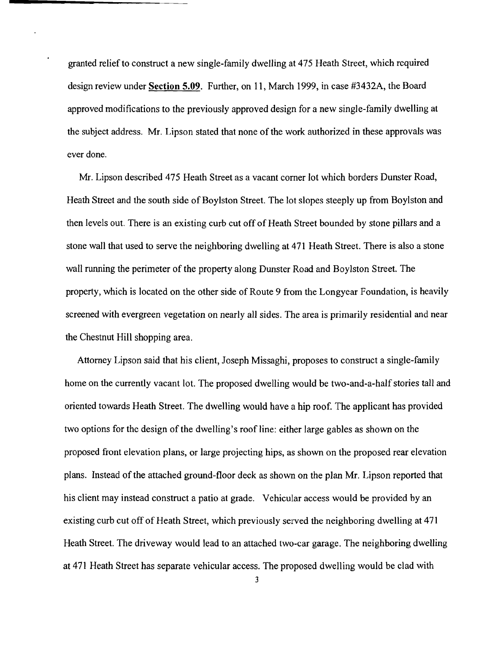granted relief to construct a new single-family dwelling at 475 Heath Street, which required design review under **Section** 5.09. Further, on 11, March 1999, in case #3432A, the Board approved modifications to the previously approved design for a new single-family dwelling at the subject address. Mr. Lipson stated that none of the work authorized in these approvals was ever done.

Mr. Lipson described 475 Heath Street as a vacant comer lot which borders Dunster Road, Heath Street and the south side of Boylston Street. The lot slopes steeply up from Boylston and then levels out. There is an existing curb cut off of Heath Street bounded by stone pillars and a stone wall that used to serve the neighboring dwelling at 471 Heath Street. There is also a stone wall running the perimeter of the property along Dunster Road and Boylston Street. The property, which is located on the other side of Route 9 from the Longyear Foundation, is heavily screened with evergreen vegetation on nearly all sides. The area is primarily residential and near the Chestnut Hill shopping area.

Attorney Lipson said that his client, Joseph Missaghi, proposes to construct a single-family home on the currently vacant lot. The proposed dwelling would be two-and-a-half stories tall and oriented towards Heath Street. The dwelling would have a hip roof. The applicant has provided two options for the design of the dwelling's roof line: either large gables as shown on the proposed front elevation plans, or large projecting hips, as shown on the proposed rear elevation plans. Instead of the attached ground-floor deck as shown on the plan Mr. Lipson reported that his client may instead construct a patio at grade. Vehicular access would be provided by an existing curb cut off of Heath Street, which previously served the neighboring dwelling at 471 Heath Street. The driveway would lead to an attached two-car garage. The neighboring dwelling at 471 Heath Street has separate vehicular access. The proposed dwelling would be clad with

3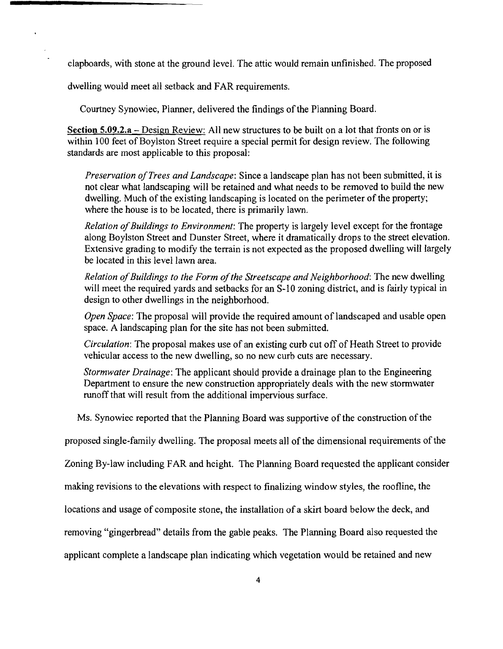clapboards, with stone at the ground level. The attic would remain unfinished. The proposed

dwelling would meet all setback and FAR requirements.

Courtney Synowiec, Planner, delivered the findings of the Planning Board.

Section 5.09.2.a – Design Review: All new structures to be built on a lot that fronts on or is within 100 feet of Boylston Street require a special permit for design review. The following standards are most applicable to this proposal:

*Preservation ofTrees and Landscape:* Since a landscape plan has not been submitted, it is not clear what landscaping will be retained and what needs to be removed to build the new dwelling. Much of the existing landscaping is located on the perimeter of the property; where the house is to be located, there is primarily lawn.

*Relation of Buildings to Environment:* The property is largely level except for the frontage along Boylston Street and Dunster Street, where it dramatically drops to the street elevation. Extensive grading to modify the terrain is not expected as the proposed dwelling will largely be located in this level lawn area.

*Relation of Buildings to the Form of the Streetscape and Neighborhood: The new dwelling* will meet the required yards and setbacks for an 8-10 zoning district, and is fairly typical in design to other dwellings in the neighborhood.

*Open Space:* The proposal will provide the required amount of landscaped and usable open space. A landscaping plan for the site has not been submitted.

*Circulation:* The proposal makes use of an existing curb cut off of Heath Street to provide vehicular access to the new dwelling, so no new curb cuts are necessary.

*Stormwater Drainage:* The applicant should provide a drainage plan to the Engineering Department to ensure the new construction appropriately deals with the new stormwater runoff that will result from the additional impervious surface.

Ms. Synowiec reported that the Planning Board was supportive of the construction of the

proposed single-family dwelling. The proposal meets all of the dimensional requirements of the

Zoning By-law including FAR and height. The Planning Board requested the applicant consider

making revisions to the elevations with respect to finalizing window styles, the roofline, the

locations and usage of composite stone, the installation of a skirt board below the deck, and

removing "gingerbread" details from the gable peaks. The Planning Board also requested the

applicant complete a landscape plan indicating which vegetation would be retained and new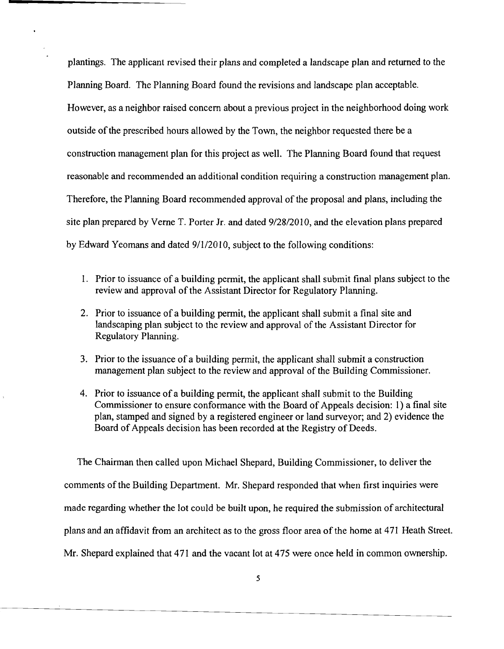plantings. The applicant revised their plans and completed a landscape plan and returned to the Planning Board. The Planning Board found the revisions and landscape plan acceptable. However, as a neighbor raised concern about a previous project in the neighborhood doing work outside of the prescribed hours allowed by the Town, the neighbor requested there be a construction management plan for this project as well. The Planning Board found that request reasonable and recommended an additional condition requiring a construction management plan. Therefore, the Planning Board recommended approval of the proposal and plans, including the site plan prepared by Verne T. Porter Jr. and dated  $9/28/2010$ , and the elevation plans prepared by Edward Yeomans and dated 9/1/2010, subject to the following conditions:

- 1. Prior to issuance of a building permit, the applicant shall submit final plans subject to the review and approval of the Assistant Director for Regulatory Planning.
- 2. Prior to issuance of a building permit, the applicant shall submit a final site and landscaping plan subject to the review and approval of the Assistant Director for Regulatory Planning.
- 3. Prior to the issuance of a building permit, the applicant shall submit a construction management plan subject to the review and approval of the Building Commissioner.
- 4. Prior to issuance of a building permit, the applicant shall submit to the Building Commissioner to ensure conformance with the Board of Appeals decision: I) a final site plan, stamped and signed by a registered engineer or land surveyor; and 2) evidence the Board of Appeals decision has been recorded at the Registry of Deeds.

The Chairman then called upon Michael Shepard, Building Commissioner, to deliver the comments of the Building Department. Mr. Shepard responded that when first inquiries were made regarding whether the lot could be built upon, he required the submission of architectural plans and an affidavit from an architect as to the gross floor area of the home at 471 Heath Street. Mr. Shepard explained that 471 and the vacant lot at 475 were once held in common ownership.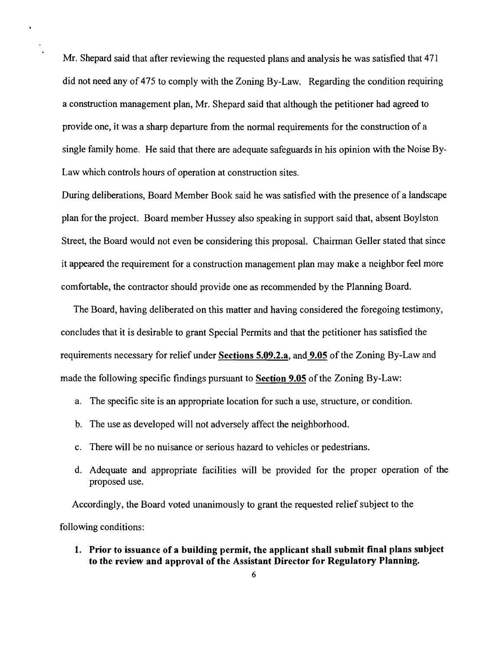Mr. Shepard said that after reviewing the requested plans and analysis he was satisfied that 471 did not need any of 475 to comply with the Zoning By-Law. Regarding the condition requiring a construction management plan, Mr. Shepard said that although the petitioner had agreed to provide one, it was a sharp departure from the normal requirements for the construction of a single family home. He said that there are adequate safeguards in his opinion with the Noise By-Law which controls hours of operation at construction sites.

During deliberations, Board Member Book said he was satisfied with the presence of a landscape plan for the project. Board member Hussey also speaking in support said that, absent Boylston Street, the Board would not even be considering this proposal. Chairman Geller stated that since it appeared the requirement for a construction management plan may make a neighbor feel more comfortable, the contractor should provide one as recommended by the Planning Board.

The Board, having deliberated on this matter and having considered the foregoing testimony, concludes that it is desirable to grant Special Permits and that the petitioner has satisfied the requirements necessary for relief under Sections 5.09.2.a, and 9.05 of the Zoning By-Law and made the following specific findings pursuant to Section 9.05 of the Zoning By-Law:

- a. The specific site is an appropriate location for such a use, structure, or condition.
- b. The use as developed will not adversely affect the neighborhood.
- c. There will be no nuisance or serious hazard to vehicles or pedestrians.
- d. Adequate and appropriate facilities will be provided for the proper operation of the proposed use.

Accordingly, the Board voted unanimously to grant the requested relief subject to the following conditions:

1. Prior to issuance of a building permit, the applicant shall submit final plans subject to the review and approval of the Assistant Director for Regulatory Planning.